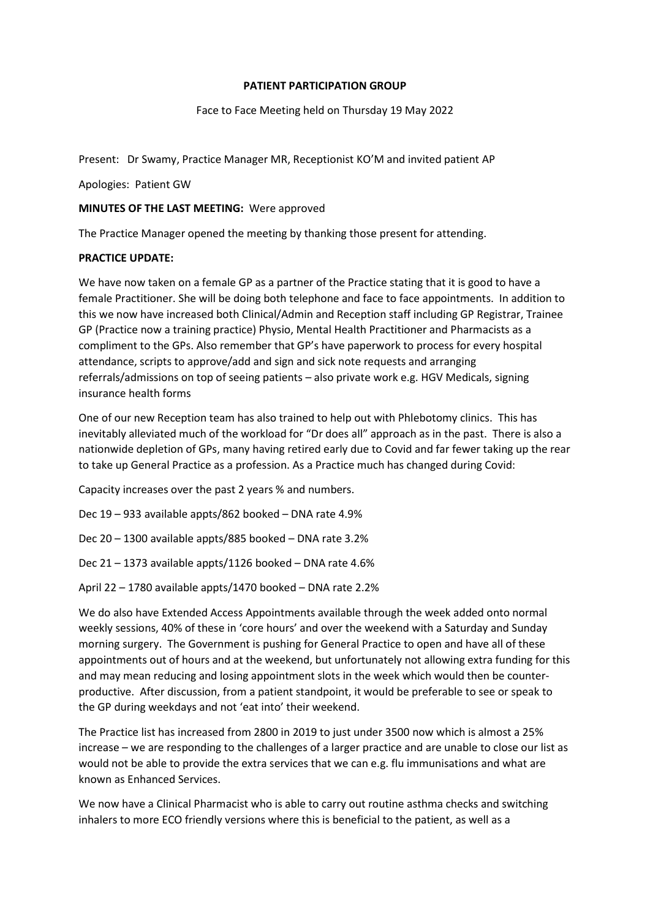### PATIENT PARTICIPATION GROUP

### Face to Face Meeting held on Thursday 19 May 2022

Present: Dr Swamy, Practice Manager MR, Receptionist KO'M and invited patient AP

Apologies: Patient GW

### MINUTES OF THE LAST MEETING: Were approved

The Practice Manager opened the meeting by thanking those present for attending.

## PRACTICE UPDATE:

We have now taken on a female GP as a partner of the Practice stating that it is good to have a female Practitioner. She will be doing both telephone and face to face appointments. In addition to this we now have increased both Clinical/Admin and Reception staff including GP Registrar, Trainee GP (Practice now a training practice) Physio, Mental Health Practitioner and Pharmacists as a compliment to the GPs. Also remember that GP's have paperwork to process for every hospital attendance, scripts to approve/add and sign and sick note requests and arranging referrals/admissions on top of seeing patients – also private work e.g. HGV Medicals, signing insurance health forms

One of our new Reception team has also trained to help out with Phlebotomy clinics. This has inevitably alleviated much of the workload for "Dr does all" approach as in the past. There is also a nationwide depletion of GPs, many having retired early due to Covid and far fewer taking up the rear to take up General Practice as a profession. As a Practice much has changed during Covid:

Capacity increases over the past 2 years % and numbers.

Dec 19 – 933 available appts/862 booked – DNA rate 4.9%

Dec 20 – 1300 available appts/885 booked – DNA rate 3.2%

Dec 21 – 1373 available appts/1126 booked – DNA rate 4.6%

April 22 – 1780 available appts/1470 booked – DNA rate 2.2%

We do also have Extended Access Appointments available through the week added onto normal weekly sessions, 40% of these in 'core hours' and over the weekend with a Saturday and Sunday morning surgery. The Government is pushing for General Practice to open and have all of these appointments out of hours and at the weekend, but unfortunately not allowing extra funding for this and may mean reducing and losing appointment slots in the week which would then be counterproductive. After discussion, from a patient standpoint, it would be preferable to see or speak to the GP during weekdays and not 'eat into' their weekend.

The Practice list has increased from 2800 in 2019 to just under 3500 now which is almost a 25% increase – we are responding to the challenges of a larger practice and are unable to close our list as would not be able to provide the extra services that we can e.g. flu immunisations and what are known as Enhanced Services.

We now have a Clinical Pharmacist who is able to carry out routine asthma checks and switching inhalers to more ECO friendly versions where this is beneficial to the patient, as well as a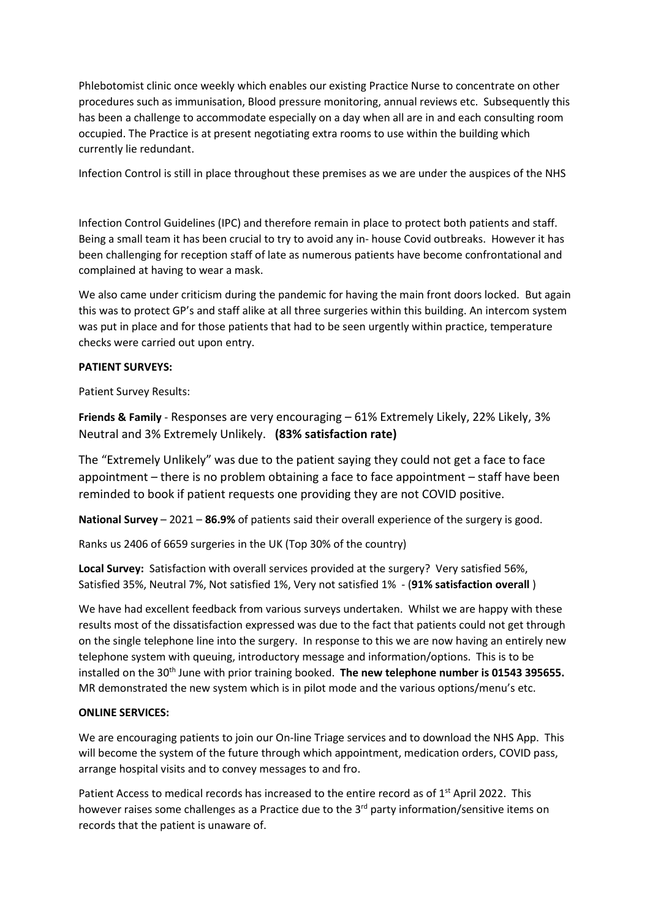Phlebotomist clinic once weekly which enables our existing Practice Nurse to concentrate on other procedures such as immunisation, Blood pressure monitoring, annual reviews etc. Subsequently this has been a challenge to accommodate especially on a day when all are in and each consulting room occupied. The Practice is at present negotiating extra rooms to use within the building which currently lie redundant.

Infection Control is still in place throughout these premises as we are under the auspices of the NHS

Infection Control Guidelines (IPC) and therefore remain in place to protect both patients and staff. Being a small team it has been crucial to try to avoid any in- house Covid outbreaks. However it has been challenging for reception staff of late as numerous patients have become confrontational and complained at having to wear a mask.

We also came under criticism during the pandemic for having the main front doors locked. But again this was to protect GP's and staff alike at all three surgeries within this building. An intercom system was put in place and for those patients that had to be seen urgently within practice, temperature checks were carried out upon entry.

## PATIENT SURVEYS:

Patient Survey Results:

Friends & Family - Responses are very encouraging – 61% Extremely Likely, 22% Likely, 3% Neutral and 3% Extremely Unlikely. (83% satisfaction rate)

The "Extremely Unlikely" was due to the patient saying they could not get a face to face appointment – there is no problem obtaining a face to face appointment – staff have been reminded to book if patient requests one providing they are not COVID positive.

**National Survey** – 2021 – 86.9% of patients said their overall experience of the surgery is good.

Ranks us 2406 of 6659 surgeries in the UK (Top 30% of the country)

Local Survey: Satisfaction with overall services provided at the surgery? Very satisfied 56%, Satisfied 35%, Neutral 7%, Not satisfied 1%, Very not satisfied 1% - (91% satisfaction overall )

We have had excellent feedback from various surveys undertaken. Whilst we are happy with these results most of the dissatisfaction expressed was due to the fact that patients could not get through on the single telephone line into the surgery. In response to this we are now having an entirely new telephone system with queuing, introductory message and information/options. This is to be installed on the 30<sup>th</sup> June with prior training booked. The new telephone number is 01543 395655. MR demonstrated the new system which is in pilot mode and the various options/menu's etc.

### ONLINE SERVICES:

We are encouraging patients to join our On-line Triage services and to download the NHS App. This will become the system of the future through which appointment, medication orders, COVID pass, arrange hospital visits and to convey messages to and fro.

Patient Access to medical records has increased to the entire record as of 1<sup>st</sup> April 2022. This however raises some challenges as a Practice due to the 3<sup>rd</sup> party information/sensitive items on records that the patient is unaware of.